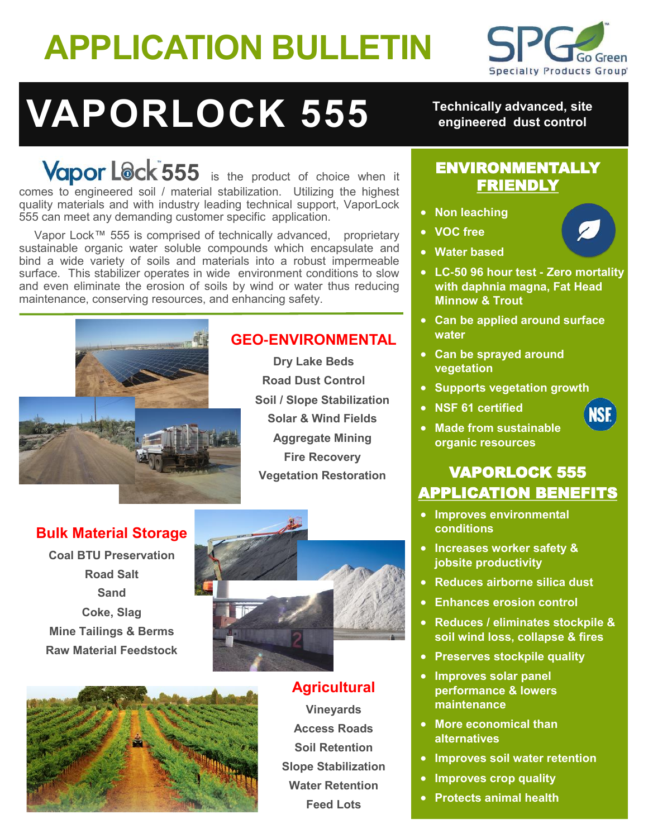## **APPLICATION BULLETIN**



# **VAPORLOCK 555**

Vapor Lock<sup>-555</sup> is the product of choice when it comes to engineered soil / material stabilization. Utilizing the highest quality materials and with industry leading technical support, VaporLock 555 can meet any demanding customer specific application.

Vapor Lock™ 555 is comprised of technically advanced, proprietary sustainable organic water soluble compounds which encapsulate and bind a wide variety of soils and materials into a robust impermeable surface. This stabilizer operates in wide environment conditions to slow and even eliminate the erosion of soils by wind or water thus reducing maintenance, conserving resources, and enhancing safety.



## **GEO-ENVIRONMENTAL**

**Dry Lake Beds Road Dust Control Soil / Slope Stabilization Solar & Wind Fields Aggregate Mining Fire Recovery Vegetation Restoration**

## **Bulk Material Storage**

**Coal BTU Preservation Road Salt Sand Coke, Slag Mine Tailings & Berms Raw Material Feedstock**





**Agricultural Vineyards Access Roads Soil Retention Slope Stabilization Water Retention Feed Lots**

**Technically advanced, site engineered dust control**

## ENVIRONMENTALLY FRIENDLY

- **Non leaching**
- **VOC free**
- **Water based**
- **LC-50 96 hour test - Zero mortality with daphnia magna, Fat Head Minnow & Trout**
- **Can be applied around surface water**
- **Can be sprayed around vegetation**
- **Supports vegetation growth**
- **NSF 61 certified**



• **Made from sustainable organic resources**

## VAPORLOCK 555 APPLICATION BENEFITS

- **Improves environmental conditions**
- **Increases worker safety & jobsite productivity**
- **Reduces airborne silica dust**
- **Enhances erosion control**
- **Reduces / eliminates stockpile & soil wind loss, collapse & fires**
- **Preserves stockpile quality**
- **Improves solar panel performance & lowers maintenance**
- **More economical than alternatives**
- **Improves soil water retention**
- **Improves crop quality**
- **Protects animal health**